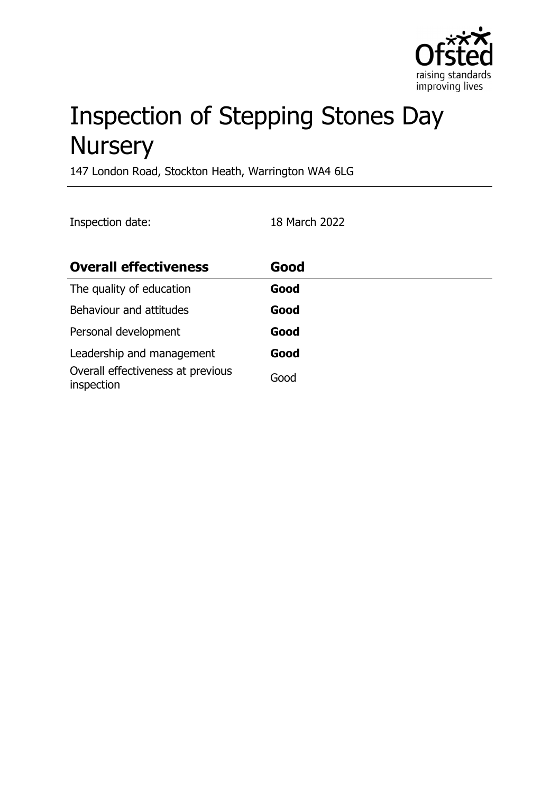

# Inspection of Stepping Stones Day **Nursery**

147 London Road, Stockton Heath, Warrington WA4 6LG

Inspection date: 18 March 2022

| <b>Overall effectiveness</b>                    | Good |
|-------------------------------------------------|------|
| The quality of education                        | Good |
| Behaviour and attitudes                         | Good |
| Personal development                            | Good |
| Leadership and management                       | Good |
| Overall effectiveness at previous<br>inspection | Good |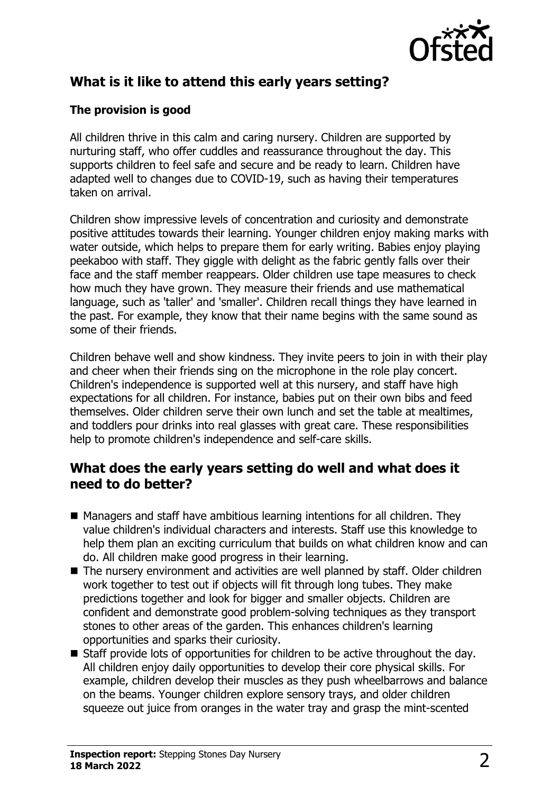

# **What is it like to attend this early years setting?**

#### **The provision is good**

All children thrive in this calm and caring nursery. Children are supported by nurturing staff, who offer cuddles and reassurance throughout the day. This supports children to feel safe and secure and be ready to learn. Children have adapted well to changes due to COVID-19, such as having their temperatures taken on arrival.

Children show impressive levels of concentration and curiosity and demonstrate positive attitudes towards their learning. Younger children enjoy making marks with water outside, which helps to prepare them for early writing. Babies enjoy playing peekaboo with staff. They giggle with delight as the fabric gently falls over their face and the staff member reappears. Older children use tape measures to check how much they have grown. They measure their friends and use mathematical language, such as 'taller' and 'smaller'. Children recall things they have learned in the past. For example, they know that their name begins with the same sound as some of their friends.

Children behave well and show kindness. They invite peers to join in with their play and cheer when their friends sing on the microphone in the role play concert. Children's independence is supported well at this nursery, and staff have high expectations for all children. For instance, babies put on their own bibs and feed themselves. Older children serve their own lunch and set the table at mealtimes, and toddlers pour drinks into real glasses with great care. These responsibilities help to promote children's independence and self-care skills.

### **What does the early years setting do well and what does it need to do better?**

- $\blacksquare$  Managers and staff have ambitious learning intentions for all children. They value children's individual characters and interests. Staff use this knowledge to help them plan an exciting curriculum that builds on what children know and can do. All children make good progress in their learning.
- The nursery environment and activities are well planned by staff. Older children work together to test out if objects will fit through long tubes. They make predictions together and look for bigger and smaller objects. Children are confident and demonstrate good problem-solving techniques as they transport stones to other areas of the garden. This enhances children's learning opportunities and sparks their curiosity.
- $\blacksquare$  Staff provide lots of opportunities for children to be active throughout the day. All children enjoy daily opportunities to develop their core physical skills. For example, children develop their muscles as they push wheelbarrows and balance on the beams. Younger children explore sensory trays, and older children squeeze out juice from oranges in the water tray and grasp the mint-scented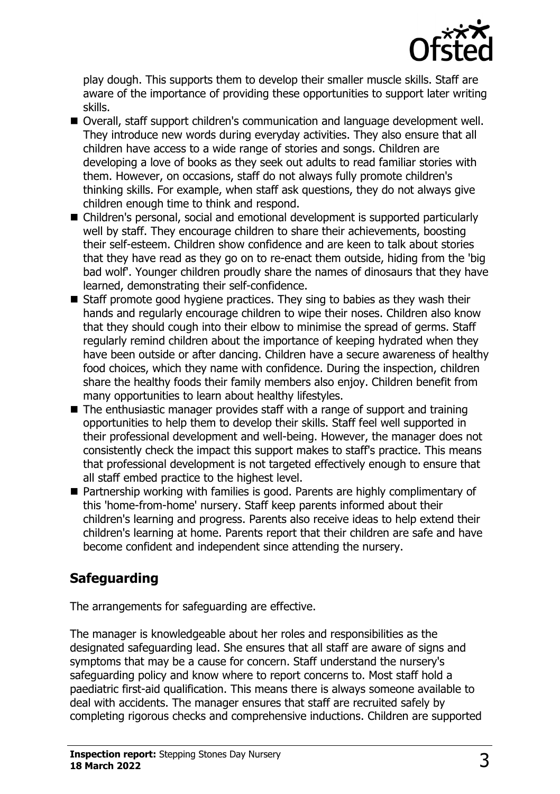

play dough. This supports them to develop their smaller muscle skills. Staff are aware of the importance of providing these opportunities to support later writing skills.

- Overall, staff support children's communication and language development well. They introduce new words during everyday activities. They also ensure that all children have access to a wide range of stories and songs. Children are developing a love of books as they seek out adults to read familiar stories with them. However, on occasions, staff do not always fully promote children's thinking skills. For example, when staff ask questions, they do not always give children enough time to think and respond.
- Children's personal, social and emotional development is supported particularly well by staff. They encourage children to share their achievements, boosting their self-esteem. Children show confidence and are keen to talk about stories that they have read as they go on to re-enact them outside, hiding from the 'big bad wolf'. Younger children proudly share the names of dinosaurs that they have learned, demonstrating their self-confidence.
- $\blacksquare$  Staff promote good hygiene practices. They sing to babies as they wash their hands and regularly encourage children to wipe their noses. Children also know that they should cough into their elbow to minimise the spread of germs. Staff regularly remind children about the importance of keeping hydrated when they have been outside or after dancing. Children have a secure awareness of healthy food choices, which they name with confidence. During the inspection, children share the healthy foods their family members also enjoy. Children benefit from many opportunities to learn about healthy lifestyles.
- $\blacksquare$  The enthusiastic manager provides staff with a range of support and training opportunities to help them to develop their skills. Staff feel well supported in their professional development and well-being. However, the manager does not consistently check the impact this support makes to staff's practice. This means that professional development is not targeted effectively enough to ensure that all staff embed practice to the highest level.
- $\blacksquare$  Partnership working with families is good. Parents are highly complimentary of this 'home-from-home' nursery. Staff keep parents informed about their children's learning and progress. Parents also receive ideas to help extend their children's learning at home. Parents report that their children are safe and have become confident and independent since attending the nursery.

# **Safeguarding**

The arrangements for safeguarding are effective.

The manager is knowledgeable about her roles and responsibilities as the designated safeguarding lead. She ensures that all staff are aware of signs and symptoms that may be a cause for concern. Staff understand the nursery's safeguarding policy and know where to report concerns to. Most staff hold a paediatric first-aid qualification. This means there is always someone available to deal with accidents. The manager ensures that staff are recruited safely by completing rigorous checks and comprehensive inductions. Children are supported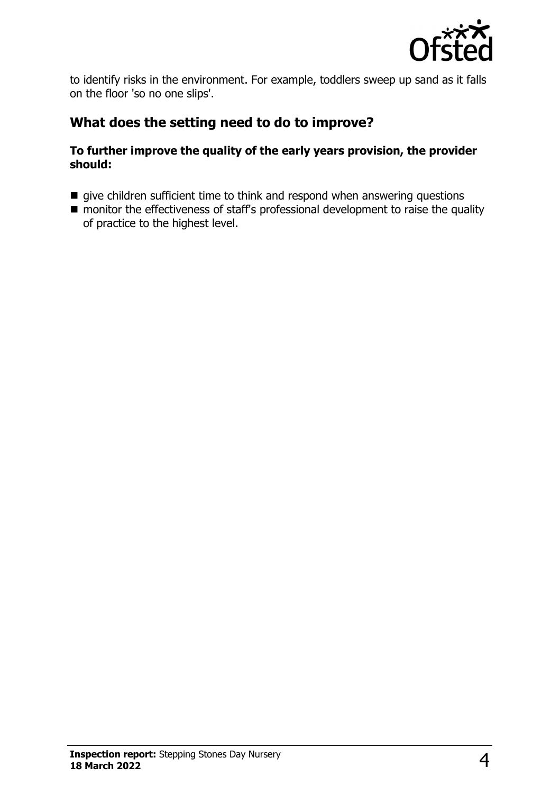

to identify risks in the environment. For example, toddlers sweep up sand as it falls on the floor 'so no one slips'.

## **What does the setting need to do to improve?**

#### **To further improve the quality of the early years provision, the provider should:**

- $\blacksquare$  give children sufficient time to think and respond when answering questions
- $\blacksquare$  monitor the effectiveness of staff's professional development to raise the quality of practice to the highest level.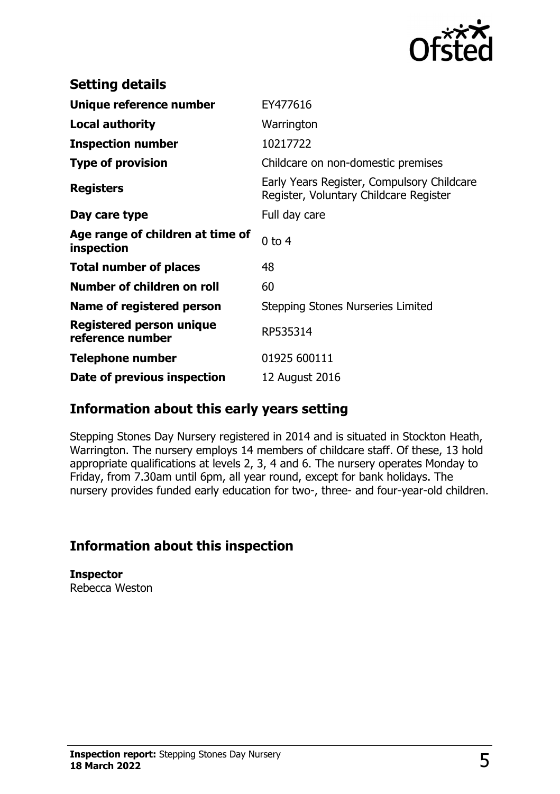

| <b>Setting details</b>                              |                                                                                      |
|-----------------------------------------------------|--------------------------------------------------------------------------------------|
| Unique reference number                             | EY477616                                                                             |
| <b>Local authority</b>                              | Warrington                                                                           |
| <b>Inspection number</b>                            | 10217722                                                                             |
| <b>Type of provision</b>                            | Childcare on non-domestic premises                                                   |
| <b>Registers</b>                                    | Early Years Register, Compulsory Childcare<br>Register, Voluntary Childcare Register |
| Day care type                                       | Full day care                                                                        |
| Age range of children at time of<br>inspection      | $0$ to 4                                                                             |
| <b>Total number of places</b>                       | 48                                                                                   |
| Number of children on roll                          | 60                                                                                   |
| Name of registered person                           | <b>Stepping Stones Nurseries Limited</b>                                             |
| <b>Registered person unique</b><br>reference number | RP535314                                                                             |
| <b>Telephone number</b>                             | 01925 600111                                                                         |
| Date of previous inspection                         | 12 August 2016                                                                       |

### **Information about this early years setting**

Stepping Stones Day Nursery registered in 2014 and is situated in Stockton Heath, Warrington. The nursery employs 14 members of childcare staff. Of these, 13 hold appropriate qualifications at levels 2, 3, 4 and 6. The nursery operates Monday to Friday, from 7.30am until 6pm, all year round, except for bank holidays. The nursery provides funded early education for two-, three- and four-year-old children.

## **Information about this inspection**

**Inspector** Rebecca Weston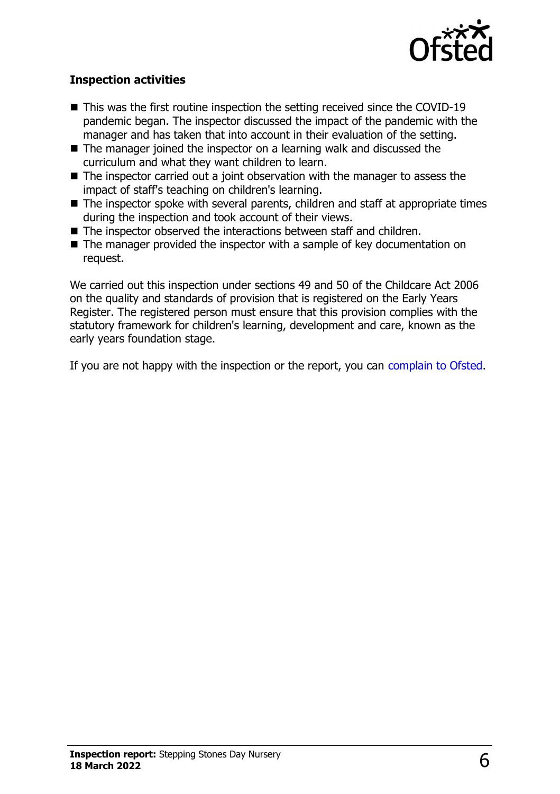

#### **Inspection activities**

- $\blacksquare$  This was the first routine inspection the setting received since the COVID-19 pandemic began. The inspector discussed the impact of the pandemic with the manager and has taken that into account in their evaluation of the setting.
- $\blacksquare$  The manager joined the inspector on a learning walk and discussed the curriculum and what they want children to learn.
- $\blacksquare$  The inspector carried out a joint observation with the manager to assess the impact of staff's teaching on children's learning.
- $\blacksquare$  The inspector spoke with several parents, children and staff at appropriate times during the inspection and took account of their views.
- $\blacksquare$  The inspector observed the interactions between staff and children.
- $\blacksquare$  The manager provided the inspector with a sample of key documentation on request.

We carried out this inspection under sections 49 and 50 of the Childcare Act 2006 on the quality and standards of provision that is registered on the Early Years Register. The registered person must ensure that this provision complies with the statutory framework for children's learning, development and care, known as the early years foundation stage.

If you are not happy with the inspection or the report, you can [complain to Ofsted](http://www.gov.uk/complain-ofsted-report).